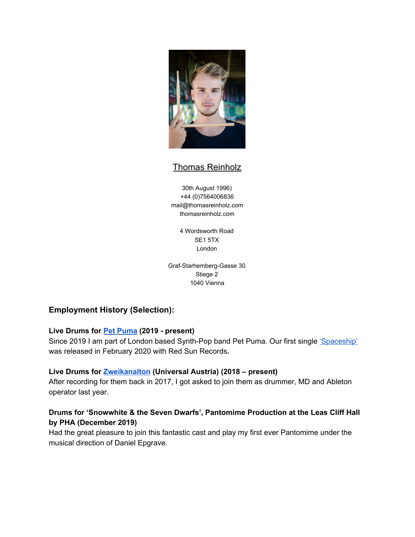

# Thomas Reinholz

30th August 1996) +44 (0)7564006836 mail@thomasreinholz.com thomasreinholz.com

> 4 Wordsworth Road SE1 5TX London

Graf-Starhemberg-Gasse 30 Stiege 2 1040 Vienna

# **Employment History (Selection):**

## **Live Drums for Pet [Puma](https://open.spotify.com/artist/0V1dD1ACQ3vzuKiSYpHVtq?si=xw5cBazOSYaBq2d1oJwUFg) (2019 - present)**

Since 2019 I am part of London based Synth-Pop band Pet Puma. Our first single ['Spaceship'](https://www.youtube.com/watch?v=LqPjXzAi7zQ&list=RDLqPjXzAi7zQ&start_radio=1) was released in February 2020 with Red Sun Records**.**

## **Live Drums fo[r](https://www.instagram.com/zweikanalton_/) [Zweikanalton](https://www.instagram.com/zweikanalton_/) (Universal Austria) (2018 – present)**

After recording for them back in 2017, I got asked to join them as drummer, MD and Ableton operator last year.

# **Drums for 'Snowwhite & the Seven Dwarfs', Pantomime Production at the Leas Cliff Hall by PHA (December 2019)**

Had the great pleasure to join this fantastic cast and play my first ever Pantomime under the musical direction of Daniel Epgrave.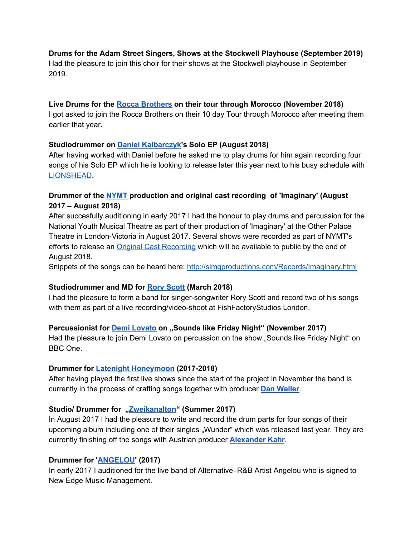# **Drums for the Adam Street Singers, Shows at the Stockwell Playhouse (September 2019)**

Had the pleasure to join this choir for their shows at the Stockwell playhouse in September 2019.

#### **Live Drums for the Rocca [Brothers](https://www.roccabrothers.com/) on their tour through Morocco (November 2018)**

I got asked to join the Rocca Brothers on their 10 day Tour through Morocco after meeting them earlier that year.

#### **Studiodrummer o[n](https://www.instagram.com/donimusic/) Daniel [Kalbarczyk'](https://www.instagram.com/donimusic/)s Solo EP (August 2018)**

After having worked with Daniel before he asked me to play drums for him again recording four songs of his Solo EP which he is looking to release later this year next to his busy schedule wit[h](https://www.facebook.com/lionsheadmusic/) [LIONSHEAD.](https://www.facebook.com/lionsheadmusic/)

# **Drummer of the [NYMT](https://nymt.org.uk/) production and original cast recording of 'Imaginary' (August 2017 – August 2018)**

After succesfully auditioning in early 2017 I had the honour to play drums and percussion for the National Youth Musical Theatre as part of their production of 'Imaginary' at the Other Palace Theatre in London-Victoria in August 2017. Several shows were recorded as part of NYMT's efforts to release an Original Cast [Recording](http://simgproductions.com/Records/Imaginary.html) which will be available to public by the end of August 2018.

Snippets of the songs can be heard here[:](http://simgproductions.com/Records/Imaginary.html) <http://simgproductions.com/Records/Imaginary.html>

## **Studiodrummer and MD for [R](https://www.facebook.com/roryscottmusic/)ory [Scott](https://www.facebook.com/roryscottmusic/) (March 2018)**

I had the pleasure to form a band for singer-songwriter Rory Scott and record two of his songs with them as part of a live recording/video-shoot at FishFactoryStudios London.

## **Percussionist for [D](https://www.instagram.com/ddlovato/)emi [Lovato](https://www.instagram.com/ddlovato/) on "Sounds like Friday Night" (November 2017)**

Had the pleasure to join Demi Lovato on percussion on the show "Sounds like Friday Night" on BBC One.

#### **Drummer for [L](https://www.instagram.com/latenighthoneymoon/)atenight [Honeymoon](https://www.instagram.com/latenighthoneymoon/) (2017-2018)**

After having played the first live shows since the start of the project in November the band is currently in the process of crafting songs together with producer **[D](https://en.wikipedia.org/wiki/Dan_Weller)an [Weller](https://en.wikipedia.org/wiki/Dan_Weller)**.

## **Studio/ Drummer for ["Zweikanalton](https://www.instagram.com/zweikanalton_/)" (Summer 2017)**

In August 2017 I had the pleasure to write and record the drum parts for four songs of their upcoming album including one of their singles "Wunder" which was released last year. They are currently finishing off the songs with Austrian producer **[Alexander](https://de.wikipedia.org/wiki/Alexander_Kahr) Kahr**.

## **Drummer for '[ANGELOU'](https://www.angelliquor.com/) (2017)**

In early 2017 I auditioned for the live band of Alternative–R&B Artist Angelou who is signed to New Edge Music Management.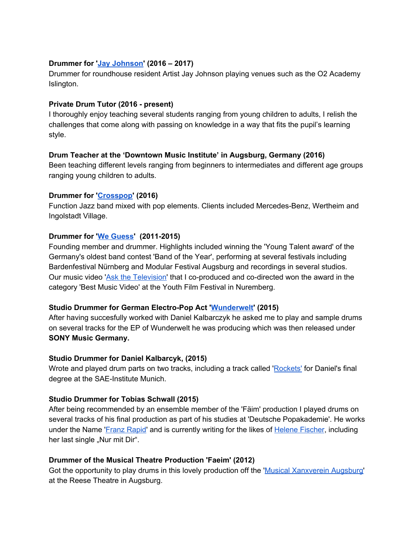#### **Drummer for 'Jay [Johnson'](http://www.jayjohnson.co.uk/) (2016 – 2017)**

Drummer for roundhouse resident Artist Jay Johnson playing venues such as the O2 Academy Islington.

#### **Private Drum Tutor (2016 - present)**

I thoroughly enjoy teaching several students ranging from young children to adults, I relish the challenges that come along with passing on knowledge in a way that fits the pupil's learning style.

## **Drum Teacher at the 'Downtown Music Institute' in Augsburg, Germany (2016)**

Been teaching different levels ranging from beginners to intermediates and different age groups ranging young children to adults.

#### **Drummer for '[Crosspop](http://crosspop.de/)' (2016)**

Function Jazz band mixed with pop elements. Clients included Mercedes-Benz, Wertheim and Ingolstadt Village.

#### **Drummer for 'We [Guess](http://weguessband.de/)' (2011-2015)**

Founding member and drummer. Highlights included winning the 'Young Talent award' of the Germany's oldest band contest 'Band of the Year', performing at several festivals including Bardenfestival Nürnberg and Modular Festival Augsburg and recordings in several studios. Our music video 'Ask the [Television](https://www.youtube.com/watch?v=UISBRCJ7G8s)' that I co-produced and co-directed won the award in the category 'Best Music Video' at the Youth Film Festival in Nuremberg.

## **Studio Drummer for German Electro-Pop Act ['Wunderwelt](http://www.wunderwelt-music.de/)' (2015)**

After having succesfully worked with Daniel Kalbarczyk he asked me to play and sample drums on several tracks for the EP of Wunderwelt he was producing which was then released under **SONY Music Germany.**

## **Studio Drummer for Daniel Kalbarcyk, (2015)**

Wrote and played drum parts on two tracks, including a track called '[Rockets'](https://www.youtube.com/watch?v=9cCWTXoe1go) for Daniel's final degree at the SAE-Institute Munich.

## **Studio Drummer for Tobias Schwall (2015)**

After being recommended by an ensemble member of the 'Fäim' production I played drums on several tracks of his final production as part of his studies at 'Deutsche Popakademie'. He works under the Name 'Franz [Rapid](https://www.franzrapid.com/)' and is currently writing for the likes of [H](https://www.universal-music.de/helene-fischer/biografie)elene [Fischer](https://www.universal-music.de/helene-fischer/biografie), including her last single "Nur mit Dir".

## **Drummer of the Musical Theatre Production 'Faeim' (2012)**

Got the opportunity to play drums in this lovely production off the 'Musical [Xanxverein](https://www.musical-augsburg.de/) Augsburg' at the Reese Theatre in Augsburg.